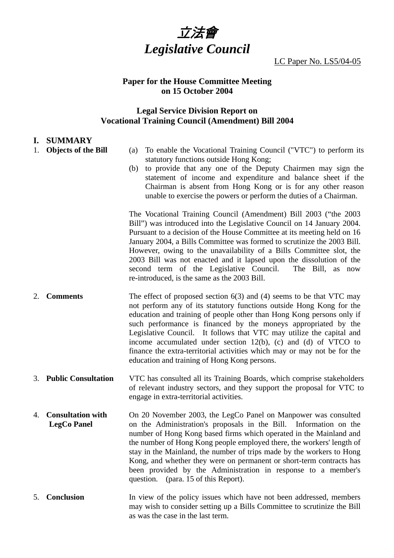

LC Paper No. LS5/04-05

# **Paper for the House Committee Meeting on 15 October 2004**

# **Legal Service Division Report on Vocational Training Council (Amendment) Bill 2004**

## **I. SUMMARY**

- 1. **Objects of the Bill** (a) To enable the Vocational Training Council ("VTC") to perform its statutory functions outside Hong Kong;
	- (b) to provide that any one of the Deputy Chairmen may sign the statement of income and expenditure and balance sheet if the Chairman is absent from Hong Kong or is for any other reason unable to exercise the powers or perform the duties of a Chairman.

The Vocational Training Council (Amendment) Bill 2003 ("the 2003 Bill") was introduced into the Legislative Council on 14 January 2004. Pursuant to a decision of the House Committee at its meeting held on 16 January 2004, a Bills Committee was formed to scrutinize the 2003 Bill. However, owing to the unavailability of a Bills Committee slot, the 2003 Bill was not enacted and it lapsed upon the dissolution of the second term of the Legislative Council. The Bill, as now re-introduced, is the same as the 2003 Bill.

- 2. **Comments** The effect of proposed section 6(3) and (4) seems to be that VTC may not perform any of its statutory functions outside Hong Kong for the education and training of people other than Hong Kong persons only if such performance is financed by the moneys appropriated by the Legislative Council. It follows that VTC may utilize the capital and income accumulated under section 12(b), (c) and (d) of VTCO to finance the extra-territorial activities which may or may not be for the education and training of Hong Kong persons.
- 3. **Public Consultation** VTC has consulted all its Training Boards, which comprise stakeholders of relevant industry sectors, and they support the proposal for VTC to engage in extra-territorial activities.
- 4. **Consultation with LegCo Panel**  On 20 November 2003, the LegCo Panel on Manpower was consulted on the Administration's proposals in the Bill. Information on the number of Hong Kong based firms which operated in the Mainland and the number of Hong Kong people employed there, the workers' length of stay in the Mainland, the number of trips made by the workers to Hong Kong, and whether they were on permanent or short-term contracts has been provided by the Administration in response to a member's question. (para. 15 of this Report).
- 5. **Conclusion** In view of the policy issues which have not been addressed, members may wish to consider setting up a Bills Committee to scrutinize the Bill as was the case in the last term.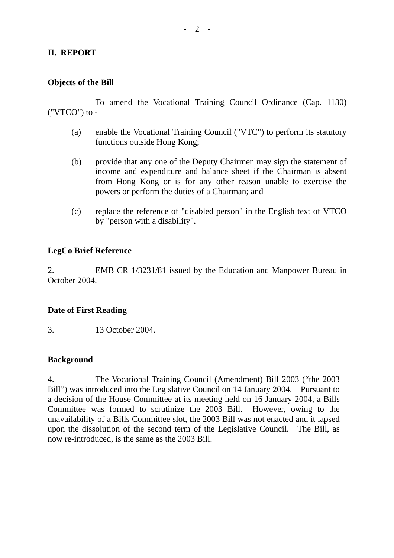# **II. REPORT**

# **Objects of the Bill**

 To amend the Vocational Training Council Ordinance (Cap. 1130) ("VTCO") to -

- (a) enable the Vocational Training Council ("VTC") to perform its statutory functions outside Hong Kong;
- (b) provide that any one of the Deputy Chairmen may sign the statement of income and expenditure and balance sheet if the Chairman is absent from Hong Kong or is for any other reason unable to exercise the powers or perform the duties of a Chairman; and
- (c) replace the reference of "disabled person" in the English text of VTCO by "person with a disability".

# **LegCo Brief Reference**

2. EMB CR 1/3231/81 issued by the Education and Manpower Bureau in October 2004.

# **Date of First Reading**

3. 13 October 2004.

# **Background**

4. The Vocational Training Council (Amendment) Bill 2003 ("the 2003 Bill") was introduced into the Legislative Council on 14 January 2004. Pursuant to a decision of the House Committee at its meeting held on 16 January 2004, a Bills Committee was formed to scrutinize the 2003 Bill. However, owing to the unavailability of a Bills Committee slot, the 2003 Bill was not enacted and it lapsed upon the dissolution of the second term of the Legislative Council. The Bill, as now re-introduced, is the same as the 2003 Bill.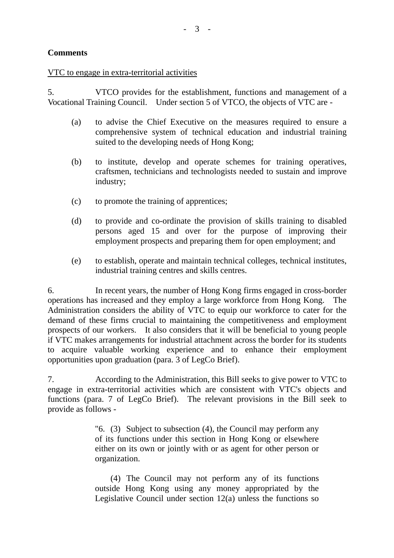# **Comments**

# VTC to engage in extra-territorial activities

5. VTCO provides for the establishment, functions and management of a Vocational Training Council. Under section 5 of VTCO, the objects of VTC are -

- (a) to advise the Chief Executive on the measures required to ensure a comprehensive system of technical education and industrial training suited to the developing needs of Hong Kong;
- (b) to institute, develop and operate schemes for training operatives, craftsmen, technicians and technologists needed to sustain and improve industry;
- (c) to promote the training of apprentices;
- (d) to provide and co-ordinate the provision of skills training to disabled persons aged 15 and over for the purpose of improving their employment prospects and preparing them for open employment; and
- (e) to establish, operate and maintain technical colleges, technical institutes, industrial training centres and skills centres.

6. In recent years, the number of Hong Kong firms engaged in cross-border operations has increased and they employ a large workforce from Hong Kong. The Administration considers the ability of VTC to equip our workforce to cater for the demand of these firms crucial to maintaining the competitiveness and employment prospects of our workers. It also considers that it will be beneficial to young people if VTC makes arrangements for industrial attachment across the border for its students to acquire valuable working experience and to enhance their employment opportunities upon graduation (para. 3 of LegCo Brief).

7. According to the Administration, this Bill seeks to give power to VTC to engage in extra-territorial activities which are consistent with VTC's objects and functions (para. 7 of LegCo Brief). The relevant provisions in the Bill seek to provide as follows -

> "6. (3) Subject to subsection (4), the Council may perform any of its functions under this section in Hong Kong or elsewhere either on its own or jointly with or as agent for other person or organization.

> (4) The Council may not perform any of its functions outside Hong Kong using any money appropriated by the Legislative Council under section 12(a) unless the functions so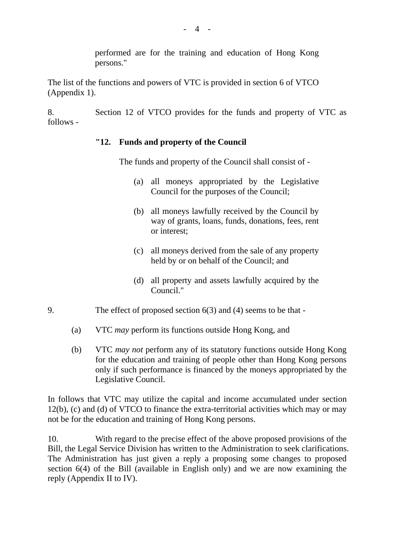performed are for the training and education of Hong Kong persons."

The list of the functions and powers of VTC is provided in section 6 of VTCO (Appendix 1).

8. Section 12 of VTCO provides for the funds and property of VTC as follows -

# **"12. Funds and property of the Council**

The funds and property of the Council shall consist of -

- (a) all moneys appropriated by the Legislative Council for the purposes of the Council;
- (b) all moneys lawfully received by the Council by way of grants, loans, funds, donations, fees, rent or interest;
- (c) all moneys derived from the sale of any property held by or on behalf of the Council; and
- (d) all property and assets lawfully acquired by the Council."
- 9. The effect of proposed section 6(3) and (4) seems to be that
	- (a) VTC *may* perform its functions outside Hong Kong, and
	- (b) VTC *may not* perform any of its statutory functions outside Hong Kong for the education and training of people other than Hong Kong persons only if such performance is financed by the moneys appropriated by the Legislative Council.

In follows that VTC may utilize the capital and income accumulated under section 12(b), (c) and (d) of VTCO to finance the extra-territorial activities which may or may not be for the education and training of Hong Kong persons.

10. With regard to the precise effect of the above proposed provisions of the Bill, the Legal Service Division has written to the Administration to seek clarifications. The Administration has just given a reply a proposing some changes to proposed section 6(4) of the Bill (available in English only) and we are now examining the reply (Appendix II to IV).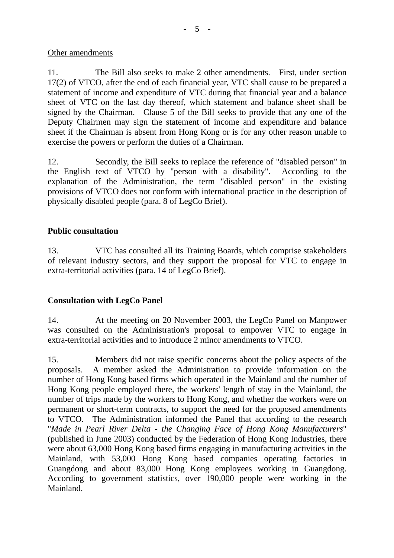# Other amendments

11. The Bill also seeks to make 2 other amendments. First, under section 17(2) of VTCO, after the end of each financial year, VTC shall cause to be prepared a statement of income and expenditure of VTC during that financial year and a balance sheet of VTC on the last day thereof, which statement and balance sheet shall be signed by the Chairman. Clause 5 of the Bill seeks to provide that any one of the Deputy Chairmen may sign the statement of income and expenditure and balance sheet if the Chairman is absent from Hong Kong or is for any other reason unable to exercise the powers or perform the duties of a Chairman.

12. Secondly, the Bill seeks to replace the reference of "disabled person" in the English text of VTCO by "person with a disability". According to the explanation of the Administration, the term "disabled person" in the existing provisions of VTCO does not conform with international practice in the description of physically disabled people (para. 8 of LegCo Brief).

# **Public consultation**

13. VTC has consulted all its Training Boards, which comprise stakeholders of relevant industry sectors, and they support the proposal for VTC to engage in extra-territorial activities (para. 14 of LegCo Brief).

# **Consultation with LegCo Panel**

14. At the meeting on 20 November 2003, the LegCo Panel on Manpower was consulted on the Administration's proposal to empower VTC to engage in extra-territorial activities and to introduce 2 minor amendments to VTCO.

15. Members did not raise specific concerns about the policy aspects of the proposals. A member asked the Administration to provide information on the number of Hong Kong based firms which operated in the Mainland and the number of Hong Kong people employed there, the workers' length of stay in the Mainland, the number of trips made by the workers to Hong Kong, and whether the workers were on permanent or short-term contracts, to support the need for the proposed amendments to VTCO. The Administration informed the Panel that according to the research "*Made in Pearl River Delta - the Changing Face of Hong Kong Manufacturers*" (published in June 2003) conducted by the Federation of Hong Kong Industries, there were about 63,000 Hong Kong based firms engaging in manufacturing activities in the Mainland, with 53,000 Hong Kong based companies operating factories in Guangdong and about 83,000 Hong Kong employees working in Guangdong. According to government statistics, over 190,000 people were working in the Mainland.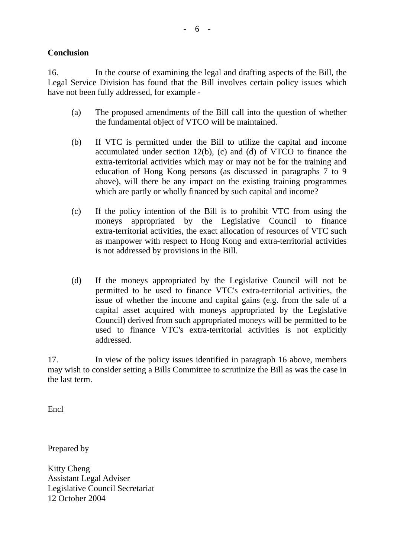# **Conclusion**

16. In the course of examining the legal and drafting aspects of the Bill, the Legal Service Division has found that the Bill involves certain policy issues which have not been fully addressed, for example -

- (a) The proposed amendments of the Bill call into the question of whether the fundamental object of VTCO will be maintained.
- (b) If VTC is permitted under the Bill to utilize the capital and income accumulated under section 12(b), (c) and (d) of VTCO to finance the extra-territorial activities which may or may not be for the training and education of Hong Kong persons (as discussed in paragraphs 7 to 9 above), will there be any impact on the existing training programmes which are partly or wholly financed by such capital and income?
- (c) If the policy intention of the Bill is to prohibit VTC from using the moneys appropriated by the Legislative Council to finance extra-territorial activities, the exact allocation of resources of VTC such as manpower with respect to Hong Kong and extra-territorial activities is not addressed by provisions in the Bill.
- (d) If the moneys appropriated by the Legislative Council will not be permitted to be used to finance VTC's extra-territorial activities, the issue of whether the income and capital gains (e.g. from the sale of a capital asset acquired with moneys appropriated by the Legislative Council) derived from such appropriated moneys will be permitted to be used to finance VTC's extra-territorial activities is not explicitly addressed.

17. In view of the policy issues identified in paragraph 16 above, members may wish to consider setting a Bills Committee to scrutinize the Bill as was the case in the last term.

Encl

Prepared by

Kitty Cheng Assistant Legal Adviser Legislative Council Secretariat 12 October 2004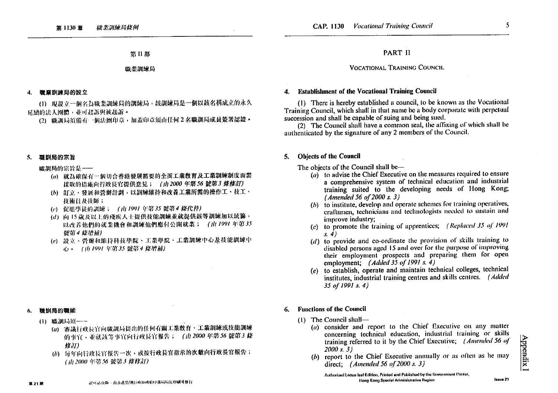第日部

### 職業訓練局

4. 職業訓練局的設立

(1) 現設立一個名為職業訓練局的訓練局,該訓練局是一個以該名稱成立的永久 延續的法人團體,並可起訴與被起訴。

(2) 職訓局須備有一個法團印章,加蓋印章須由任何2名職訓局成員簽署認證。

#### 職訓局的宗旨  $5.$

職訓局的宗旨是----

- (a) 就為確保有一個切合香港發展需要的全面工業教育及工業訓練制度面需 採取的措施向行政長官提供意見; (由2000年第56號第3條修訂)
- (b) 訂立、發展和營辦計劃,以訓練維持和改善工業所需的操作工、技工、 技術員及技師;
- (c) 促進學徒的訓練 ; (山 1991年第35 號第4 綠代替)
- (d) 向 15 歲及以上的殘疾人士提供技能訓練並就提供該等訓練加以統籌, 以改善他們的就業機會和訓練他們應付公開就業; (山1991年第35 辦第4條增補)
- (e) 設立、營辦和維持科技學院、工業學院、工業訓練中心及技能訓練中 心。 (由1991年第35 號第4 條增補)

#### 職訓局的職能 -6.

- (1) 職訓局須一一
	- (a) 審議行政長官向職訓局提出的任何有關工業教育、工業訓練或技能訓練 的事宜、並就該等事宜向行政長官報告; (由2000年第56號第3 蘇 修用)
	- (b) 每年向行政長官報告一次,或按行政長官指示的次數向行政長官報告; (山2000年第56號第3條修訂)

### **VOCATIONAL TRAINING COUNCIL**

### 4. Establishment of the Vocational Training Council

(1) There is hereby established a council, to be known as the Vocational Training Council, which shall in that name be a body corporate with perpetual succession and shall be capable of suing and being sued.

(2) The Council shall have a common seal, the affixing of which shall be authenticated by the signature of any 2 members of the Council.

#### **Objects of the Council** 5.

The objects of the Council shall be—

- $(a)$  to advise the Chief Executive on the measures required to ensure a comprehensive system of technical education and industrial training suited to the developing needs of Hong Kong; (Amended 56 of 2000 s. 3)
- $(b)$  to institute, develop and operate schemes for training operatives, craftsmen, technicians and technologists needed to sustain and improve industry:
- (c) to promote the training of apprentices; (Replaced 35 of 1991  $s. 4)$
- $(d)$  to provide and co-ordinate the provision of skills training to disabled persons aged 15 and over for the purpose of improving their employment prospects and preparing them for open employment; (Added 35 of 1991 s. 4)
- (e) to establish, operate and maintain technical colleges, technical institutes, industrial training centres and skills centres. (Added 35 of 1991 s. 4)

#### **Functions of the Council** 6.

- $(1)$  The Council shall-
	- $(a)$  consider and report to the Chief Executive on any matter concerning technical education, industrial training or skills training referred to it by the Chief Executive; (Amended 56 of  $2000 s. 31$
	- (b) report to the Chief Executive annually or as often as he may direct; (Amended 56 of 2000 s. 3)

5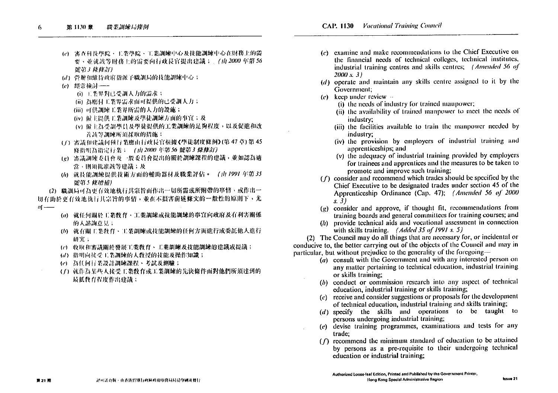- (c) 審查科技學院、工業學院、工業訓練中心及技能訓練中心在財務上的需 要、並就該等財務上的需要向行政長官提出建議;」(由2000年第56 號第3 條修訂)
- (d) 營辦和維持政府指派予職測局的技能訓練中心;
- (c) 經常檢討 ---
	- (i) 工業界對已受調人力的需求;
	- (ii) 為應付工業界需求而可提供的已受訓人力;
	- (iii) 可供訓練工業界所需的人力的設施;
	- (iv) 偏主提供主業訓練及學徒訓練方面的事宜;及
	- (v) 僱主為受訓學員及學徒提供的工業訓練的是夠程度,以及促進和改 **善該等訓練所須採取的措施;**
- (7) 審議和建議何種行業應由行政長官根據《學徒制度條例》(第47章)第45 條指明為指定行業; (由2000年第56號第3條修訂)
- (g) 審議訓練委員會及一般委員會提出的關於訓練課程的建議,並如認為適 當、則須批准該等建議;及
- (h) 就技能訓練提供技術方面的輔助器材及職業評估。 (山1991年第35 號第5條增補)

(2) 職調局可為更有效地執行其宗旨面作出一切所需或所附帶的事情,或作出一 切有助於更有效地執行其宗旨的事情,並在不損害前述條文的一般性的原則下,尤  $\ddot{\theta}$   $\ddot{\theta}$ 

- (a) 就任何關於工業教育、工業訓練或技能訓練的事宜向政府及有利害關係 的人諮詢意見;
- (6) 就有關工業教育、工業訓練或技能訓練的任何方面進行或委託他人進行 研究;
- (c) 收取和審議關於發展工業教育、工業訓練及技能訓練的建議或提議;
- (d) 指明向接受工業訓練的人教授的技能及操作知識;
- (e) 為任何行業設計訓練課程、考試及測驗;
- (f) 就作為某些人接受工業教育或工業訓練的先決條件面對他們所須達到的 最低教育程度作出建議;
- (c) examine and make recommendations to the Chief Executive on the financial needs of technical colleges, technical institutes, industrial training centres and skills centres; (Amended 56 of  $2000 \times 3$
- $(d)$  operate and maintain any skills centre assigned to it by the Government:
- $(e)$  keep under review  $\sim$ 
	- (i) the needs of industry for trained manpower;
	- (ii) the availability of trained mannower to meet the needs of industry:
	- (iii) the facilities available to train the manpower needed by industry:
	- (iv) the provision by employers of industrial training and apprenticeships; and
	- (v) the adequacy of industrial training provided by employers for trainees and apprentices and the measures to be taken to promote and improve such training;
- $(f)$  consider and recommend which trades should be specified by the Chief Executive to be designated trades under section 45 of the Apprenticeship Ordinance (Cap. 47); (Amended 56 of 2000  $s. 3)$
- $(g)$  consider and approve, if thought fit, recommendations from training boards and general committees for training courses; and
- $(h)$  provide technical aids and vocational assessment in connection with skills training.  $(Added\ 35\ of\ 1991\ s. 5)$

(2) The Council may do all things that are necessary for, or incidental or conducive to, the better carrying out of the objects of the Council and may in particular, but without prejudice to the generality of the foregoing-

- $(a)$  consult with the Government and with any interested person on any matter pertaining to technical education, industrial training or skills training;
- $(b)$  conduct or commission research into any aspect of technical education, industrial training or skills training;
- $(c)$  receive and consider suggestions or proposals for the development of technical education, industrial training and skills training;
- $(d)$  specify the skills and operations to be taught to persons undergoing industrial training;
- $(e)$  devise training programmes, examinations and tests for any trade;
- $(f)$  recommend the minimum standard of education to be attained by persons as a pre-requisite to their undergoing technical education or industrial training;

第21期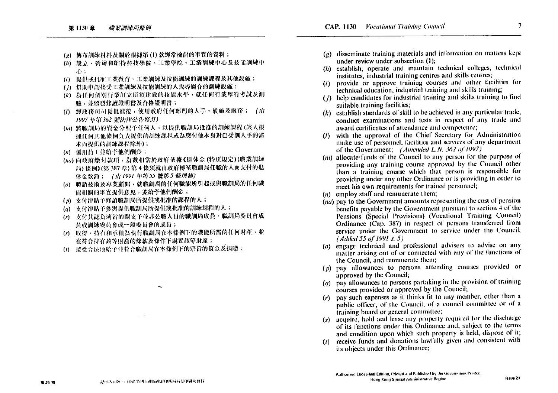- (g) 傳布訓練材料及關於根據第(1)款經常檢討的事宜的資料;
- (h) 設立、營辦和維持科技學院、工業學院、工業訓練中心及技能測練中 45.1
- (i) 提供或批准工業教育、工業訓練及技能訓練的訓練課程及其他設施;
- (i) 煤助电站接受工業訓練及技能訓練的人找尋適合的訓練設施;
- (k) 為任何個別行業訂立所須達致的技能水平,就任何行業舉行考試及測 驗,並頒發修讀證明書及合格證明書;
- (1) 經政務司司長批准後,使用政府任何部門的人手、設施及服務; (山 1997年第362 號法律公告修訂)
- (m) 將職訓局的資金分配予任何人,以提供職訓局批准的訓練課程(該人根 城任何其他條例負責提供的訓練課程或為應付他本身對已受訓人手的需 求而提供的訓練課程除外);
- (n) 僱用員工並給予他們酬金;
- (na) 向政府缴付款項, 為數相當於政府依據《退休金(特別規定)(職業訓練 局) 條例》(第387章) 第4條須就由政府轉至職訓局任職的人而支付的退 休金款額; (山1991年第55 號第5 條増補)
- (o) 聘請技術及專業顧問,就職訓局的任何職能所引起或與職訓局的任何職 能相關的事宜提供意見,並給予他們酬金;
- (p) 支付津贴予修讀職訓局所提供或批准的課程的人;
- (q) 支付津贴予参與提供職訓局所提供或批准的訓練課程的人;
- (r) 支付其認為適當的開支予並非公職人員的職訓局成員、職調局委員會成 目或訓練委員會或一般委員會的成員;
- (x) 取得、持有和承租為執行職訓局在本條例下的職能所需的任何財產,並 在符合持有該等財產的條款及條件下處置該等財產;
- (t) 接受合法地給予並符合職訓局在本條例下的宗旨的資金及捐贈;
- $(e)$  disseminate training materials and information on matters kept under review under subsection (1);
- $(h)$  establish, operate and maintain technical colleges, technical institutes, industrial training centres and skills centres;
- provide or approve training courses and other facilities for  $(i)$ technical education, industrial training and skills training;
- (j) help candidates for industrial training and skills training to find suitable training facilities;
- $(k)$  establish standards of skill to be achieved in any particular trade, conduct examinations and tests in respect of any trade and award certificates of attendance and competence;
- (1) with the approval of the Chief Secretary for Administration make use of personnel, facilities and services of any department of the Government: (Amended L.N. 362 of 1997)
- $(m)$  allocate-funds of the Council to any person for the purpose of providing any training course approved by the Council other than a training course which that person is responsible for providing under any other Ordinance or is providing in order to meet his own requirements for trained personnel;
- $(n)$  employ staff and remunerate them;
- $(na)$  pay to the Government amounts representing the cost of pension benefits payable by the Government pursuant to section 4 of the Pensions (Special Provisions) (Vocational Training Council) Ordinance (Cap. 387) in respect of persons transferred from service under the Government to service under the Council; (Added 55 of 1991 s. 5)
- $(o)$  engage technical and professional advisers to advise on any matter arising out of or connected with any of the functions of the Council, and remunerate them;
- $(p)$  pay allowances to persons attending courses provided or approved by the Council:
- $(q)$  pay allowances to persons partaking in the provision of training courses provided or approved by the Council;
- $(r)$  pay such expenses as it thinks fit to any member, other than a public officer, of the Council, of a council committee or of a training board or general committee;
- $(s)$  acquire, hold and lease any property required for the discharge of its functions under this Ordinance and, subject to the terms and condition upon which such property is held, dispose of it;
- receive funds and donations lawfully given and consistent with its objects under this Ordinance;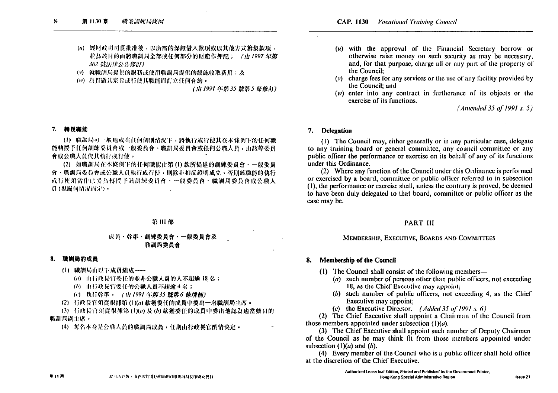- (u) 經財政司司長批准後,以所需的保證借入款項或以其他方式籌集款項, 並為該目的而將職訓局全部或任何部分的財產作押記; (山1997年第 362 號法律公告修訂)
- (r) 就職訓局提供的服務或使用職訓局提供的設施收取費用;及
- (ir) 為貫徹其宗旨或行使其職能而訂立任何合約。

### 7. 精授職能

(1) 職調局可一般地或在任何個別情況下,將執行或行使其在本條例下的任何職 能轉授予任何訓練委員會或一般委員會、職訓局委員會或任何公職人員,由該等委員 會或公職人員代其執行或行使。

(2) 如職訓局在本條例下的任何職能由第(1)款所提述的訓練委員會、一般委員 會、職訓局委員會或公職人員執行或行使,則除非相反證明成立,否則該職能的執行 或行使須當作已妥為轉授予該訓練委員會、一般委員會、職訓局委員會或公職人 員(視屬何情況而定)。

### 第111部

### 成員、幹事、訓練委員會、一般委員會及 脱訓局委員會

### 8. 職訓局的成員

(1) 職訓局由以下成員組成 ----

(a) 由行政長官委任的並非公職人員的人不超输 18 名;

- (b) 由行政長官委任的公職人員不超逾4名;
- (c) 机行幹事。 (山1991年第35號第6條增補)
- (2) 行政長官須從根據第(1)(a) 款獲委任的成員中委出一名職訓局主席。

(3) 行政長官須從很挑第(1)(a)及(b)款獲委任的成員中委出他認為適當數目的 職訓局副主席。

(4) 每名本身是公職人員的職訓局成員,任期由行政長官酌情決定。

- $(u)$  with the approval of the Financial Secretary borrow or otherwise raise money on such security as may be necessary, and, for that purpose, charge all or any part of the property of the Council:
- $(v)$  charge fees for any services or the use of any facility provided by the Council: and
- $(w)$  enter into any contract in furtherance of its objects or the exercise of its functions.

 $(Amended 35 of 1991 s. 5)$ 

### 7. Delegation

(1) The Council may, either generally or in any particular case, delegate to any training board or general committee, any council committee or any public officer the performance or exercise on its behalf of any of its functions under this Ordinance.

(2) Where any function of the Council under this Ordinance is performed or exercised by a board, committee or public officer referred to in subsection (1), the performance or exercise shall, unless the contrary is proved, be deemed to have been duly delegated to that board, committee or public officer as the case may be.

### **PART III**

### MEMBERSHIP, EXECUTIVE, BOARDS AND COMMITTEES

### 8. Membership of the Council

- (1) The Council shall consist of the following members—
	- $(a)$  such number of persons other than public officers, not exceeding 18, as the Chief Executive may appoint;
	- $(b)$  such number of public officers, not exceeding 4, as the Chief Executive may appoint:
	- (c) the Executive Director. (Added 35 of 1991 s. 6)

(2) The Chief Executive shall appoint a Chairman of the Council from those members appointed under subsection  $(1)(a)$ .

(3) The Chief Executive shall appoint such number of Deputy Chairmen of the Council as he may think fit from those members appointed under subsection  $(1)(a)$  and  $(b)$ .

(4) Every member of the Council who is a public officer shall hold office at the discretion of the Chief Executive.

数21期

<sup>(</sup>山1991年第35號第5條修訂)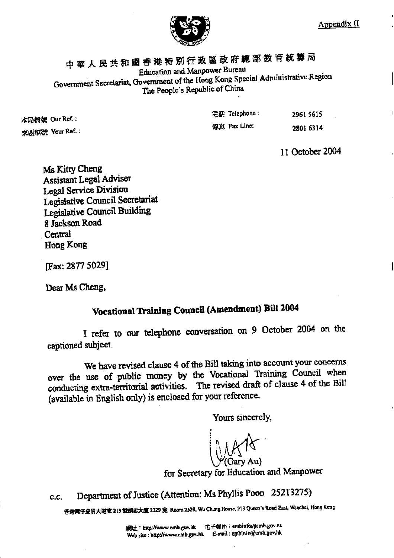

# 中華人民共和國香港特別行政區政府總部教育統籌局 Education and Manpower Bureau Government Secretariat, Government of the Hong Kong Special Administrative Region The People's Republic of China

| 本局档案 Our Rcf.:<br>来废福派 Your Ref.: | 通話 Telephone : | 2961 5615 |
|-----------------------------------|----------------|-----------|
|                                   | 似真 Fax Line:   | 2801 6314 |
|                                   |                |           |

11 October 2004

Ms Kitty Cheng **Assistant Legal Adviser** Legal Service Division Legislative Council Secretariat Legislative Council Building 8 Jackson Road Central Hong Kong

[Fax: 2877 5029]

Dear Ms Cheng,

# Vocational Training Council (Amendment) Bill 2004

I refer to our telephone conversation on 9 October 2004 on the captioned subject.

We have revised clause 4 of the Bill taking into account your concerns over the use of public money by the Vocational Training Council when conducting extra-territorial activities. The revised draft of clause 4 of the Bill (available in English only) is enclosed for your reference.

Yours sincerely,

(Gary Au)

for Secretary for Education and Manpower

Department of Justice (Attention: Ms Phyllis Poon 25213275)  $C.C.$ 

音差需仔皇后大道京 213 號胡忠大廈 2329 瓮 Room 2329, Wu Chung House, 213 Queen's Road East, Wanchai, Hong Kong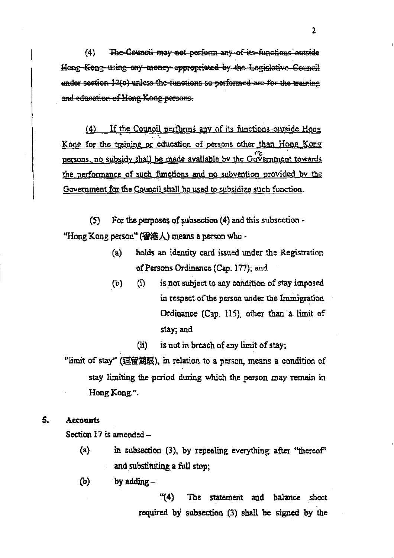The-Council may not perform any of its functions outside  $(4)$ Hong Kong using any money appropriated by the Logislative Council under section 12(a) unless the functions so performed are for the training and education of Hong Kong persons.

If the Council performs any of its functions outside Hong  $(4)$ Kone for the training or education of persons other than Hong Kong persons, no subsidy shall be made available by the Government towards the performance of such functions and no subvention provided by the Government for the Council shall be used to subsidize such function.

 $(5)$ For the purposes of subsection (4) and this subsection -"Hong Kong person" (香港人) means a person who -

- holds an identity card issued under the Registration  $(a)$ of Persons Ordinance (Cap. 177); and
- is not subject to any condition of stay imposed  $(b)$  $(i)$ in respect of the person under the Immigration Ordinance (Cap. 115), other than a limit of stay; and
	- is not in breach of any limit of stay;  $(ii)$

"limit of stay" (逗留期限), in relation to a person, means a condition of stay limiting the period during which the person may remain in Hong Kong.".

#### $\mathsf{S}$ . **Accounts**

Section 17 is amended -

- $(a)$ in subsection (3), by repealing everything after "thereof" and substituting a full stop;
- $(b)$ by adding -

 $(4)$ The statement and balance sheet required by subsection (3) shall be signed by the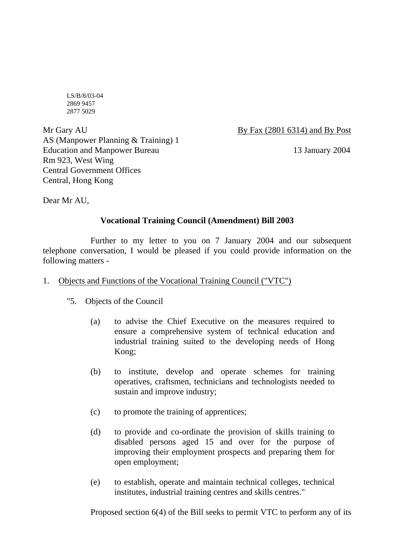LS/B/8/03-04 2869 9457 2877 5029

Mr Gary AU By Fax (2801 6314) and By Post AS (Manpower Planning & Training) 1 Education and Manpower Bureau 13 January 2004 Rm 923, West Wing Central Government Offices Central, Hong Kong

Dear Mr AU,

# **Vocational Training Council (Amendment) Bill 2003**

 Further to my letter to you on 7 January 2004 and our subsequent telephone conversation, I would be pleased if you could provide information on the following matters -

# 1. Objects and Functions of the Vocational Training Council ("VTC")

- "5. Objects of the Council
	- (a) to advise the Chief Executive on the measures required to ensure a comprehensive system of technical education and industrial training suited to the developing needs of Hong Kong;
	- (b) to institute, develop and operate schemes for training operatives, craftsmen, technicians and technologists needed to sustain and improve industry;
	- (c) to promote the training of apprentices;
	- (d) to provide and co-ordinate the provision of skills training to disabled persons aged 15 and over for the purpose of improving their employment prospects and preparing them for open employment;
	- (e) to establish, operate and maintain technical colleges, technical institutes, industrial training centres and skills centres."

Proposed section 6(4) of the Bill seeks to permit VTC to perform any of its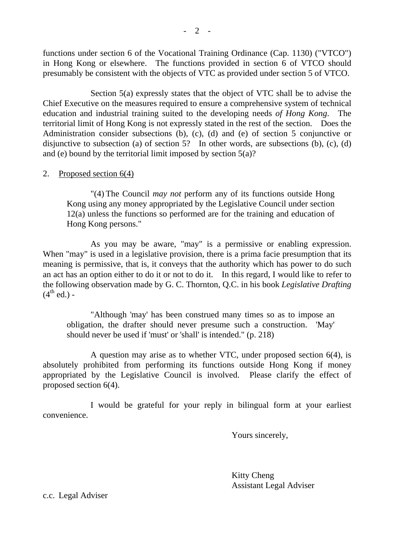functions under section 6 of the Vocational Training Ordinance (Cap. 1130) ("VTCO") in Hong Kong or elsewhere. The functions provided in section 6 of VTCO should presumably be consistent with the objects of VTC as provided under section 5 of VTCO.

 Section 5(a) expressly states that the object of VTC shall be to advise the Chief Executive on the measures required to ensure a comprehensive system of technical education and industrial training suited to the developing needs *of Hong Kong*. The territorial limit of Hong Kong is not expressly stated in the rest of the section. Does the Administration consider subsections (b), (c), (d) and (e) of section 5 conjunctive or disjunctive to subsection (a) of section 5? In other words, are subsections (b), (c), (d) and (e) bound by the territorial limit imposed by section 5(a)?

# 2. Proposed section 6(4)

 "(4) The Council *may not* perform any of its functions outside Hong Kong using any money appropriated by the Legislative Council under section 12(a) unless the functions so performed are for the training and education of Hong Kong persons."

 As you may be aware, "may" is a permissive or enabling expression. When "may" is used in a legislative provision, there is a prima facie presumption that its meaning is permissive, that is, it conveys that the authority which has power to do such an act has an option either to do it or not to do it. In this regard, I would like to refer to the following observation made by G. C. Thornton, Q.C. in his book *Legislative Drafting*  $(4<sup>th</sup>$  ed.) -

 "Although 'may' has been construed many times so as to impose an obligation, the drafter should never presume such a construction. 'May' should never be used if 'must' or 'shall' is intended." (p. 218)

 A question may arise as to whether VTC, under proposed section 6(4), is absolutely prohibited from performing its functions outside Hong Kong if money appropriated by the Legislative Council is involved. Please clarify the effect of proposed section 6(4).

 I would be grateful for your reply in bilingual form at your earliest convenience.

Yours sincerely,

 Kitty Cheng Assistant Legal Adviser

c.c. Legal Adviser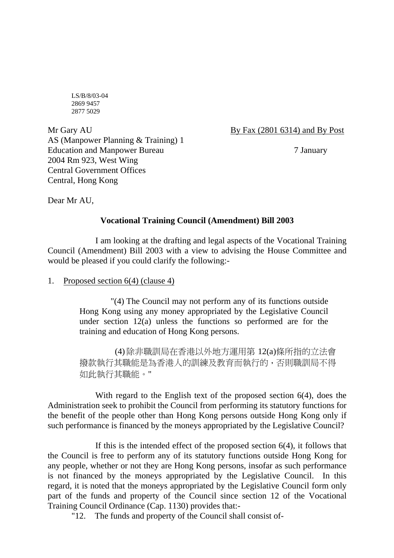LS/B/8/03-04 2869 9457 2877 5029

Mr Gary AU By Fax (2801 6314) and By Post AS (Manpower Planning & Training) 1 Education and Manpower Bureau 7 January 2004 Rm 923, West Wing Central Government Offices Central, Hong Kong

Dear Mr AU,

# **Vocational Training Council (Amendment) Bill 2003**

 I am looking at the drafting and legal aspects of the Vocational Training Council (Amendment) Bill 2003 with a view to advising the House Committee and would be pleased if you could clarify the following:-

# 1. Proposed section  $6(4)$  (clause 4)

 "(4) The Council may not perform any of its functions outside Hong Kong using any money appropriated by the Legislative Council under section 12(a) unless the functions so performed are for the training and education of Hong Kong persons.

 (4) 除非職訓局在香港以外地方運用第 12(a)條所指的立法會 撥款執行其職能是為香港人的訓練及教育而執行的,否則職訓局不得 如此執行其職能。"

 With regard to the English text of the proposed section 6(4), does the Administration seek to prohibit the Council from performing its statutory functions for the benefit of the people other than Hong Kong persons outside Hong Kong only if such performance is financed by the moneys appropriated by the Legislative Council?

If this is the intended effect of the proposed section  $6(4)$ , it follows that the Council is free to perform any of its statutory functions outside Hong Kong for any people, whether or not they are Hong Kong persons, insofar as such performance is not financed by the moneys appropriated by the Legislative Council. In this regard, it is noted that the moneys appropriated by the Legislative Council form only part of the funds and property of the Council since section 12 of the Vocational Training Council Ordinance (Cap. 1130) provides that:-

"12. The funds and property of the Council shall consist of-